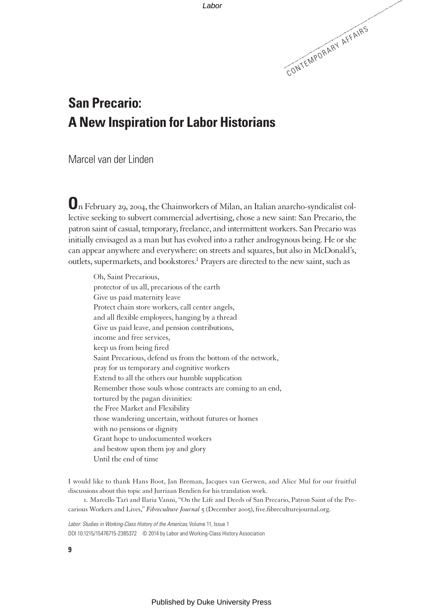

# **San Precario: A New Inspiration for Labor Historians**

Marcel van der Linden

**O**n February 29, 2004, the Chainworkers of Milan, an Italian anarcho-syndicalist collective seeking to subvert commercial advertising, chose a new saint: San Precario, the patron saint of casual, temporary, freelance, and intermittent workers. San Precario was initially envisaged as a man but has evolved into a rather androgynous being. He or she can appear anywhere and everywhere: on streets and squares, but also in McDonald's, outlets, supermarkets, and bookstores.<sup>1</sup> Prayers are directed to the new saint, such as

Oh, Saint Precarious, protector of us all, precarious of the earth Give us paid maternity leave Protect chain store workers, call center angels, and all flexible employees, hanging by a thread Give us paid leave, and pension contributions, income and free services, keep us from being fired Saint Precarious, defend us from the bottom of the network, pray for us temporary and cognitive workers Extend to all the others our humble supplication Remember those souls whose contracts are coming to an end, tortured by the pagan divinities: the Free Market and Flexibility those wandering uncertain, without futures or homes with no pensions or dignity Grant hope to undocumented workers and bestow upon them joy and glory Until the end of time

I would like to thank Hans Boot, Jan Breman, Jacques van Gerwen, and Alice Mul for our fruitful discussions about this topic and Jurriaan Bendien for his translation work.

1. Marcello Tarì and Ilaria Vanni, "On the Life and Deeds of San Precario, Patron Saint of the Precarious Workers and Lives," *Fibreculture Journal* 5 (December 2005), five.fibreculturejournal.org.

*Labor: Studies in Working-Class History of the Americas*, Volume 11, Issue 1 DOI 10.1215/15476715-2385372 © 2014 by Labor and Working-Class History Association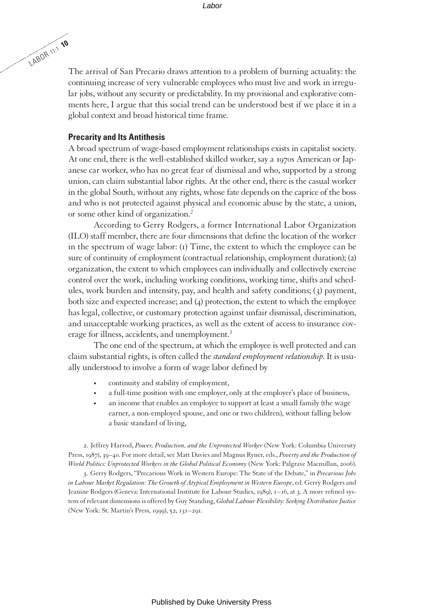LABOR 11:1 **10** The arrival of San Precario draws attention to a problem of burning actuality: the continuing increase of very vulnerable employees who must live and work in irregular jobs, without any security or predictability. In my provisional and explorative comments here, I argue that this social trend can be understood best if we place it in a global context and broad historical time frame.

# **Precarity and Its Antithesis**

A broad spectrum of wage-based employment relationships exists in capitalist society. At one end, there is the well-established skilled worker, say a 1970s American or Japanese car worker, who has no great fear of dismissal and who, supported by a strong union, can claim substantial labor rights. At the other end, there is the casual worker in the global South, without any rights, whose fate depends on the caprice of the boss and who is not protected against physical and economic abuse by the state, a union, or some other kind of organization.2

According to Gerry Rodgers, a former International Labor Organization (ILO) staff member, there are four dimensions that define the location of the worker in the spectrum of wage labor: (1) Time, the extent to which the employee can be sure of continuity of employment (contractual relationship, employment duration); (2) organization, the extent to which employees can individually and collectively exercise control over the work, including working conditions, working time, shifts and schedules, work burden and intensity, pay, and health and safety conditions; (3) payment, both size and expected increase; and (4) protection, the extent to which the employee has legal, collective, or customary protection against unfair dismissal, discrimination, and unacceptable working practices, as well as the extent of access to insurance coverage for illness, accidents, and unemployment.<sup>3</sup>

The one end of the spectrum, at which the employee is well protected and can claim substantial rights, is often called the *standard employment relationship*. It is usually understood to involve a form of wage labor defined by

- continuity and stability of employment,
- a full-time position with one employer, only at the employer's place of business,
- an income that enables an employee to support at least a small family (the wage earner, a non-employed spouse, and one or two children), without falling below a basic standard of living,

2. Jeffrey Harrod, *Power, Production, and the Unprotected Worker* (New York: Columbia University Press, 1987), 39– 40. For more detail, see Matt Davies and Magnus Ryner, eds., *Poverty and the Production of World Politics: Unprotected Workers in the Global Political Economy* (New York: Palgrave Macmillan, 2006).

3. Gerry Rodgers, "Precarious Work in Western Europe: The State of the Debate," in *Precarious Jobs in Labour Market Regulation: The Growth of Atypical Employment in Western Europe*, ed. Gerry Rodgers and Jeanine Rodgers (Geneva: International Institute for Labour Studies, 1989), 1– 16, at 3. A more refined system of relevant dimensions is offered by Guy Standing, *Global Labour Flexibility: Seeking Distributive Justice*  (New York: St. Martin's Press, 1999), 52, 131-291.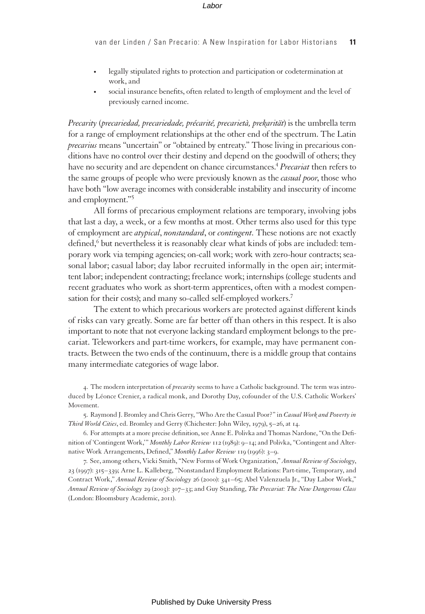van der Linden / San Precario: A New Inspiration for Labor Historians **11**

- legally stipulated rights to protection and participation or codetermination at work, and
- social insurance benefits, often related to length of employment and the level of previously earned income.

*Precarity* (*precariedad, precariedade, précarité, precarietà, prekarität*) is the umbrella term for a range of employment relationships at the other end of the spectrum. The Latin *precarius* means "uncertain" or "obtained by entreaty." Those living in precarious conditions have no control over their destiny and depend on the goodwill of others; they have no security and are dependent on chance circumstances.4 *Precariat* then refers to the same groups of people who were previously known as the *casual poor*, those who have both "low average incomes with considerable instability and insecurity of income and employment."5

All forms of precarious employment relations are temporary, involving jobs that last a day, a week, or a few months at most. Other terms also used for this type of employment are *atypical*, *nonstandard*, or *contingent*. These notions are not exactly defined,<sup>6</sup> but nevertheless it is reasonably clear what kinds of jobs are included: temporary work via temping agencies; on-call work; work with zero-hour contracts; seasonal labor; casual labor; day labor recruited informally in the open air; intermittent labor; independent contracting; freelance work; internships (college students and recent graduates who work as short-term apprentices, often with a modest compensation for their costs); and many so-called self-employed workers.<sup>7</sup>

The extent to which precarious workers are protected against different kinds of risks can vary greatly. Some are far better off than others in this respect. It is also important to note that not everyone lacking standard employment belongs to the precariat. Teleworkers and part-time workers, for example, may have permanent contracts. Between the two ends of the continuum, there is a middle group that contains many intermediate categories of wage labor.

4. The modern interpretation of *precarity* seems to have a Catholic background. The term was introduced by Léonce Crenier, a radical monk, and Dorothy Day, cofounder of the U.S. Catholic Workers' Movement.

5. Raymond J. Bromley and Chris Gerry, "Who Are the Casual Poor?" in *Casual Work and Poverty in Third World Cities*, ed. Bromley and Gerry (Chichester: John Wiley, 1979), 5–26, at 14.

6. For attempts at a more precise definition, see Anne E. Polivka and Thomas Nardone, "On the Definition of 'Contingent Work,'" *Monthly Labor Review* 112 (1989): 9– 14; and Polivka, "Contingent and Alternative Work Arrangements, Defined," *Monthly Labor Review* 119 (1996): 3-9.

7. See, among others, Vicki Smith, "New Forms of Work Organization," *Annual Review of Sociology*, 23 (1997): 315– 339; Arne L. Kalleberg, "Nonstandard Employment Relations: Part-time, Temporary, and Contract Work," *Annual Review of Sociology* 26 (2000): 341– 65; Abel Valenzuela Jr., "Day Labor Work," *Annual Review of Sociology* 29 (2003): 307– 33; and Guy Standing, *The Precariat: The New Dangerous Class*  (London: Bloomsbury Academic, 2011).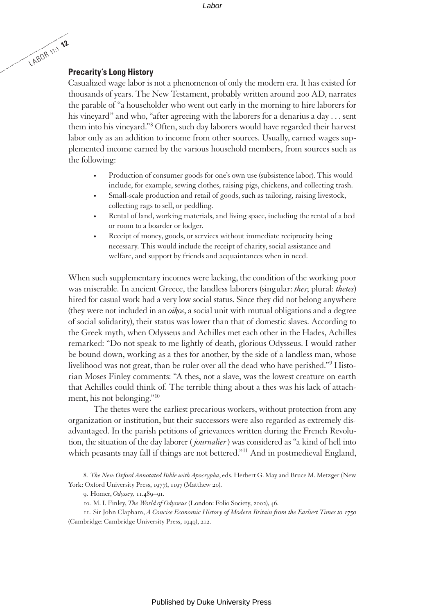# LABOR 11:1 **12 Precarity's Long History**

Casualized wage labor is not a phenomenon of only the modern era. It has existed for thousands of years. The New Testament, probably written around 200 AD, narrates the parable of "a householder who went out early in the morning to hire laborers for his vineyard" and who, "after agreeing with the laborers for a denarius a day . . . sent them into his vineyard."8 Often, such day laborers would have regarded their harvest labor only as an addition to income from other sources. Usually, earned wages supplemented income earned by the various household members, from sources such as the following:

- Production of consumer goods for one's own use (subsistence labor). This would include, for example, sewing clothes, raising pigs, chickens, and collecting trash.
- Small-scale production and retail of goods, such as tailoring, raising livestock, collecting rags to sell, or peddling.
- Rental of land, working materials, and living space, including the rental of a bed or room to a boarder or lodger.
- Receipt of money, goods, or services without immediate reciprocity being necessary. This would include the receipt of charity, social assistance and welfare, and support by friends and acquaintances when in need.

When such supplementary incomes were lacking, the condition of the working poor was miserable. In ancient Greece, the landless laborers (singular: *thes*; plural: *thetes*) hired for casual work had a very low social status. Since they did not belong anywhere (they were not included in an *oikos*, a social unit with mutual obligations and a degree of social solidarity), their status was lower than that of domestic slaves. According to the Greek myth, when Odysseus and Achilles met each other in the Hades, Achilles remarked: "Do not speak to me lightly of death, glorious Odysseus. I would rather be bound down, working as a thes for another, by the side of a landless man, whose livelihood was not great, than be ruler over all the dead who have perished."<sup>9</sup> Historian Moses Finley comments: "A thes, not a slave, was the lowest creature on earth that Achilles could think of. The terrible thing about a thes was his lack of attachment, his not belonging."10

The thetes were the earliest precarious workers, without protection from any organization or institution, but their successors were also regarded as extremely disadvantaged. In the parish petitions of grievances written during the French Revolution, the situation of the day laborer ( *journalier*) was considered as "a kind of hell into which peasants may fall if things are not bettered."<sup>11</sup> And in postmedieval England,

8. *The New Oxford Annotated Bible with Apocrypha*, eds. Herbert G. May and Bruce M. Metzger (New York: Oxford University Press, 1977), 1197 (Matthew 20).

10. M. I. Finley, *The World of Odysseus* (London: Folio Society, 2002), 46.

11. Sir John Clapham, *A Concise Economic History of Modern Britain from the Earliest Times to 1750*  (Cambridge: Cambridge University Press, 1949), 212.

<sup>9.</sup> Homer, Odyssey, 11.489-91.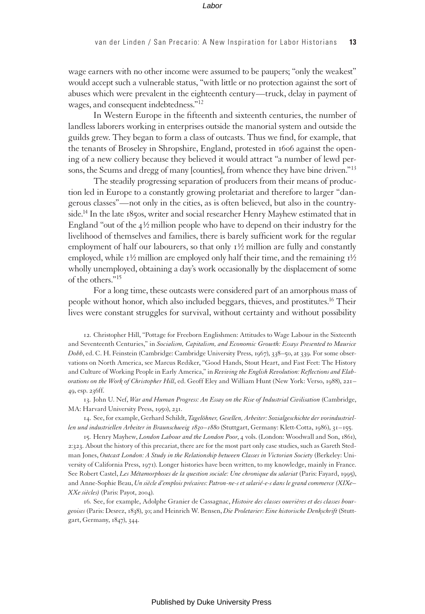wage earners with no other income were assumed to be paupers; "only the weakest" would accept such a vulnerable status, "with little or no protection against the sort of abuses which were prevalent in the eighteenth century— truck, delay in payment of wages, and consequent indebtedness."12

In Western Europe in the fifteenth and sixteenth centuries, the number of landless laborers working in enterprises outside the manorial system and outside the guilds grew. They began to form a class of outcasts. Thus we find, for example, that the tenants of Broseley in Shropshire, England, protested in 1606 against the opening of a new colliery because they believed it would attract "a number of lewd persons, the Scums and dregg of many [counties], from whence they have bine driven."<sup>13</sup>

The steadily progressing separation of producers from their means of production led in Europe to a constantly growing proletariat and therefore to larger "dangerous classes"— not only in the cities, as is often believed, but also in the countryside.<sup>14</sup> In the late 1850s, writer and social researcher Henry Mayhew estimated that in England "out of the  $4\frac{1}{2}$  million people who have to depend on their industry for the livelihood of themselves and families, there is barely sufficient work for the regular employment of half our labourers, so that only 1½ million are fully and constantly employed, while 1½ million are employed only half their time, and the remaining 1½ wholly unemployed, obtaining a day's work occasionally by the displacement of some of the others."15

For a long time, these outcasts were considered part of an amorphous mass of people without honor, which also included beggars, thieves, and prostitutes.16 Their lives were constant struggles for survival, without certainty and without possibility

12. Christopher Hill, "Pottage for Freeborn Englishmen: Attitudes to Wage Labour in the Sixteenth and Seventeenth Centuries," in *Socialism, Capitalism, and Economic Growth: Essays Presented to Maurice Dobb*, ed. C. H. Feinstein (Cambridge: Cambridge University Press, 1967), 338– 50, at 339*.* For some observations on North America, see Marcus Rediker, "Good Hands, Stout Heart, and Fast Feet: The History and Culture of Working People in Early America," in *Reviving the English Revolution: Reflections and Elaborations on the Work of Christopher Hill*, ed. Geoff Eley and William Hunt (New York: Verso, 1988), 221– 49, esp. 236ff.

13. John U. Nef, *War and Human Progress: An Essay on the Rise of Industrial Civilisation* (Cambridge, MA: Harvard University Press, 1950), 231.

14. See, for example, Gerhard Schildt, *Tagelöhner, Gesellen, Arbeiter: Sozialgeschichte der vorindustriellen und industriellen Arbeiter in Braunschweig 1830 –1880* (Stuttgart, Germany: Klett-Cotta, 1986), 31– 155.

15. Henry Mayhew, *London Labour and the London Poor*, 4 vols. (London: Woodwall and Son, 1861), 2:323. About the history of this precariat, there are for the most part only case studies, such as Gareth Stedman Jones, Outcast London: A Study in the Relationship between Classes in Victorian Society (Berkeley: University of California Press, 1971). Longer histories have been written, to my knowledge, mainly in France. See Robert Castel, *Les Métamorphoses de la question sociale: Une chronique du salariat* (Paris: Fayard, 1995), and Anne-Sophie Beau, *Un siècle d'emplois précaires: Patron-ne-s et salarié-e-s dans le grand commerce (XIXe– XXe siècles)* (Paris: Payot, 2004).

16. See, for example, Adolphe Granier de Cassagnac, *Histoire des classes ouvrières et des classes bourgeoises* (Paris: Desrez, 1838), 30; and Heinrich W. Bensen, *Die Proletarier: Eine historische Denkschrift* (Stuttgart, Germany, 1847), 344.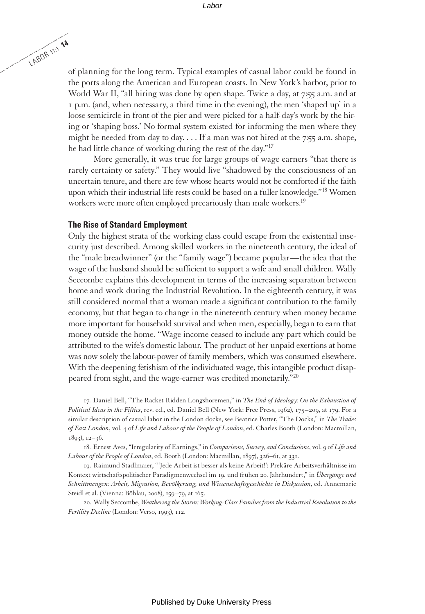LABOR 11:1 **14** of planning for the long term. Typical examples of casual labor could be found in the ports along the American and European coasts. In New York's harbor, prior to World War II, "all hiring was done by open shape. Twice a day, at 7:55 a.m. and at 1 p.m. (and, when necessary, a third time in the evening), the men 'shaped up' in a loose semicircle in front of the pier and were picked for a half-day's work by the hiring or 'shaping boss.' No formal system existed for informing the men where they might be needed from day to day.... If a man was not hired at the  $7:55$  a.m. shape, he had little chance of working during the rest of the day."17

> More generally, it was true for large groups of wage earners "that there is rarely certainty or safety." They would live "shadowed by the consciousness of an uncertain tenure, and there are few whose hearts would not be comforted if the faith upon which their industrial life rests could be based on a fuller knowledge."18 Women workers were more often employed precariously than male workers.<sup>19</sup>

# **The Rise of Standard Employment**

Only the highest strata of the working class could escape from the existential insecurity just described. Among skilled workers in the nineteenth century, the ideal of the "male breadwinner" (or the "family wage") became popular— the idea that the wage of the husband should be sufficient to support a wife and small children. Wally Seccombe explains this development in terms of the increasing separation between home and work during the Industrial Revolution. In the eighteenth century, it was still considered normal that a woman made a significant contribution to the family economy, but that began to change in the nineteenth century when money became more important for household survival and when men, especially, began to earn that money outside the home. "Wage income ceased to include any part which could be attributed to the wife's domestic labour. The product of her unpaid exertions at home was now solely the labour-power of family members, which was consumed elsewhere. With the deepening fetishism of the individuated wage, this intangible product disappeared from sight, and the wage-earner was credited monetarily."20

17. Daniel Bell, "The Racket-Ridden Longshoremen," in *The End of Ideology: On the Exhaustion of Political Ideas in the Fifties*, rev. ed., ed. Daniel Bell (New York: Free Press, 1962), 175– 209, at 179. For a similar description of casual labor in the London docks, see Beatrice Potter, "The Docks," in *The Trades of East London*, vol. 4 of *Life and Labour of the People of London*, ed. Charles Booth (London: Macmillan, 1893), 12– 36.

18. Ernest Aves, "Irregularity of Earnings," in *Comparisons, Survey, and Conclusions*, vol. 9 of *Life and Labour of the People of London*, ed. Booth (London: Macmillan, 1897), 326–61, at 331.

19. Raimund Stadlmaier, "'Jede Arbeit ist besser als keine Arbeit!': Prekäre Arbeitsverhältnisse im Kontext wirtschaftspolitischer Paradigmenwechsel im 19. und frühen 20. Jahrhundert," in *Übergänge und Schnittmengen: Arbeit, Migration, Bevölkerung, und Wissenschaftsgeschichte in Diskussion*, ed. Annemarie Steidl et al. (Vienna: Böhlau, 2008), 159– 79, at 165.

20. Wally Seccombe, *Weathering the Storm: Working-Class Families from the Industrial Revolution to the Fertility Decline* (London: Verso, 1993), 112.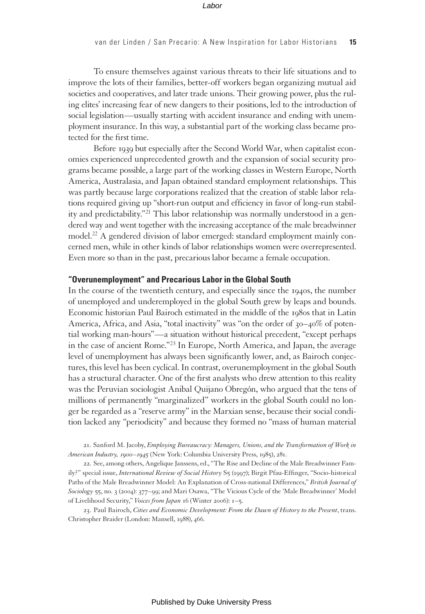To ensure themselves against various threats to their life situations and to improve the lots of their families, better-off workers began organizing mutual aid societies and cooperatives, and later trade unions. Their growing power, plus the ruling elites' increasing fear of new dangers to their positions, led to the introduction of social legislation— usually starting with accident insurance and ending with unemployment insurance. In this way, a substantial part of the working class became protected for the first time.

Before 1939 but especially after the Second World War, when capitalist economies experienced unprecedented growth and the expansion of social security programs became possible, a large part of the working classes in Western Europe, North America, Australasia, and Japan obtained standard employment relationships. This was partly because large corporations realized that the creation of stable labor relations required giving up "short-run output and efficiency in favor of long-run stability and predictability."21 This labor relationship was normally understood in a gendered way and went together with the increasing acceptance of the male breadwinner model.22 A gendered division of labor emerged: standard employment mainly concerned men, while in other kinds of labor relationships women were overrepresented. Even more so than in the past, precarious labor became a female occupation.

# **"Overunemployment" and Precarious Labor in the Global South**

In the course of the twentieth century, and especially since the 1940s, the number of unemployed and underemployed in the global South grew by leaps and bounds. Economic historian Paul Bairoch estimated in the middle of the 1980s that in Latin America, Africa, and Asia, "total inactivity" was "on the order of 30–40% of potential working man-hours"— a situation without historical precedent, "except perhaps in the case of ancient Rome."23 In Europe, North America, and Japan, the average level of unemployment has always been significantly lower, and, as Bairoch conjectures, this level has been cyclical. In contrast, overunemployment in the global South has a structural character. One of the first analysts who drew attention to this reality was the Peruvian sociologist Anibal Quijano Obregón, who argued that the tens of millions of permanently "marginalized" workers in the global South could no longer be regarded as a "reserve army" in the Marxian sense, because their social condition lacked any "periodicity" and because they formed no "mass of human material

21. Sanford M. Jacoby, *Employing Bureaucracy: Managers, Unions, and the Transformation of Work in American Industry, 1900 –1945* (New York: Columbia University Press, 1985), 281.

22. See, among others, Angelique Janssens, ed., "The Rise and Decline of the Male Breadwinner Family?" special issue, *International Review of Social History* S5 (1997); Birgit Pfau-Effinger, "Socio-historical Paths of the Male Breadwinner Model: An Explanation of Cross-national Differences," *British Journal of Sociology* 55, no. 3 (2004): 377– 99; and Mari Osawa, "The Vicious Cycle of the 'Male Breadwinner' Model of Livelihood Security," *Voices from Japan* 16 (Winter 2006): 1-5.

23. Paul Bairoch, *Cities and Economic Development: From the Dawn of History to the Present*, trans. Christopher Braider (London: Mansell, 1988), 466.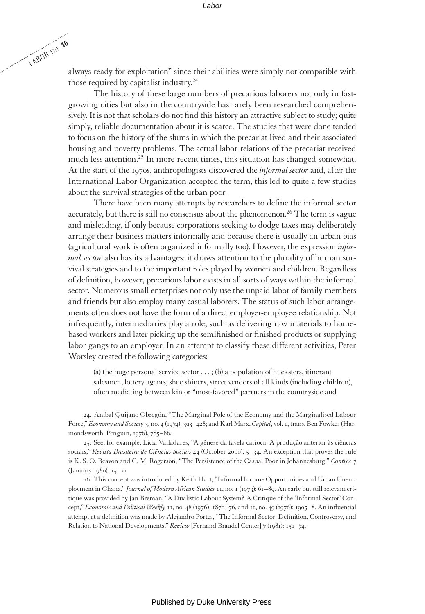LABOR 11:1 **16** always ready for exploitation" since their abilities were simply not compatible with those required by capitalist industry.24

> The history of these large numbers of precarious laborers not only in fastgrowing cities but also in the countryside has rarely been researched comprehensively. It is not that scholars do not find this history an attractive subject to study; quite simply, reliable documentation about it is scarce. The studies that were done tended to focus on the history of the slums in which the precariat lived and their associated housing and poverty problems. The actual labor relations of the precariat received much less attention.<sup>25</sup> In more recent times, this situation has changed somewhat. At the start of the 1970s, anthropologists discovered the *informal sector* and, after the International Labor Organization accepted the term, this led to quite a few studies about the survival strategies of the urban poor.

> There have been many attempts by researchers to define the informal sector accurately, but there is still no consensus about the phenomenon.<sup>26</sup> The term is vague and misleading, if only because corporations seeking to dodge taxes may deliberately arrange their business matters informally and because there is usually an urban bias (agricultural work is often organized informally too). However, the expression *informal sector* also has its advantages: it draws attention to the plurality of human survival strategies and to the important roles played by women and children. Regardless of definition, however, precarious labor exists in all sorts of ways within the informal sector. Numerous small enterprises not only use the unpaid labor of family members and friends but also employ many casual laborers. The status of such labor arrangements often does not have the form of a direct employer-employee relationship. Not infrequently, intermediaries play a role, such as delivering raw materials to homebased workers and later picking up the semifinished or finished products or supplying labor gangs to an employer. In an attempt to classify these different activities, Peter Worsley created the following categories:

(a) the huge personal service sector  $\ldots$ ; (b) a population of hucksters, itinerant salesmen, lottery agents, shoe shiners, street vendors of all kinds (including children), often mediating between kin or "most-favored" partners in the countryside and

24. Anibal Quijano Obregón, "The Marginal Pole of the Economy and the Marginalised Labour Force," *Economy and Society* 3, no. 4 (1974): 393– 428; and Karl Marx, *Capital*, vol. 1, trans. Ben Fowkes (Harmondsworth: Penguin, 1976), 785-86.

25. See, for example, Licia Valladares, "A gênese da favela carioca: A produção anterior às ciências sociais," *Revista Brasileira de Ciências Sociais* 44 (October 2000): 5– 34. An exception that proves the rule is K. S. O. Beavon and C. M. Rogerson, "The Persistence of the Casual Poor in Johannesburg," *Contree* 7 (January 1980): 15-21.

26. This concept was introduced by Keith Hart, "Informal Income Opportunities and Urban Unemployment in Ghana," *Journal of Modern African Studies* 11, no. 1 (1973): 61– 89. An early but still relevant critique was provided by Jan Breman, "A Dualistic Labour System? A Critique of the 'Informal Sector' Concept," *Economic and Political Weekly* 11, no. 48 (1976): 1870– 76, and 11, no. 49 (1976): 1905– 8. An influential attempt at a definition was made by Alejandro Portes, "The Informal Sector: Definition, Controversy, and Relation to National Developments," *Review* [Fernand Braudel Center] 7 (1981): 151-74.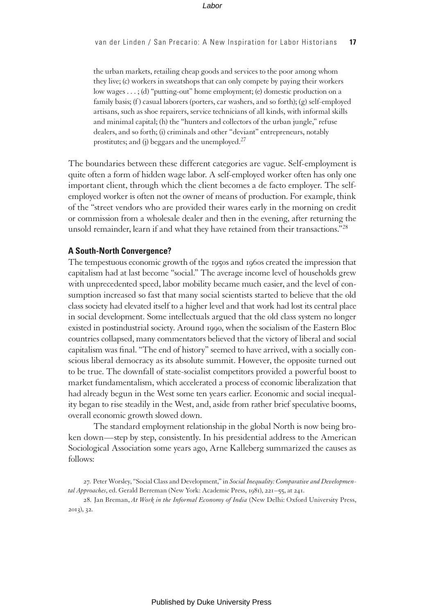the urban markets, retailing cheap goods and services to the poor among whom they live; (c) workers in sweatshops that can only compete by paying their workers low wages . . . ; (d) "putting-out" home employment; (e) domestic production on a family basis; (f) casual laborers (porters, car washers, and so forth); (g) self-employed artisans, such as shoe repairers, service technicians of all kinds, with informal skills and minimal capital; (h) the "hunters and collectors of the urban jungle," refuse dealers, and so forth; (i) criminals and other "deviant" entrepreneurs, notably prostitutes; and (j) beggars and the unemployed. $27$ 

The boundaries between these different categories are vague. Self-employment is quite often a form of hidden wage labor. A self-employed worker often has only one important client, through which the client becomes a de facto employer. The selfemployed worker is often not the owner of means of production. For example, think of the "street vendors who are provided their wares early in the morning on credit or commission from a wholesale dealer and then in the evening, after returning the unsold remainder, learn if and what they have retained from their transactions."28

# **A South-North Convergence?**

The tempestuous economic growth of the 1950s and 1960s created the impression that capitalism had at last become "social." The average income level of households grew with unprecedented speed, labor mobility became much easier, and the level of consumption increased so fast that many social scientists started to believe that the old class society had elevated itself to a higher level and that work had lost its central place in social development. Some intellectuals argued that the old class system no longer existed in postindustrial society. Around 1990, when the socialism of the Eastern Bloc countries collapsed, many commentators believed that the victory of liberal and social capitalism was final. "The end of history" seemed to have arrived, with a socially conscious liberal democracy as its absolute summit. However, the opposite turned out to be true. The downfall of state-socialist competitors provided a powerful boost to market fundamentalism, which accelerated a process of economic liberalization that had already begun in the West some ten years earlier. Economic and social inequality began to rise steadily in the West, and, aside from rather brief speculative booms, overall economic growth slowed down.

The standard employment relationship in the global North is now being broken down— step by step, consistently. In his presidential address to the American Sociological Association some years ago, Arne Kalleberg summarized the causes as follows:

27. Peter Worsley, "Social Class and Development," in *Social Inequality: Comparative and Developmen*tal Approaches, ed. Gerald Berreman (New York: Academic Press, 1981), 221-55, at 241.

28. Jan Breman, *At Work in the Informal Economy of India* (New Delhi: Oxford University Press, 2013), 32.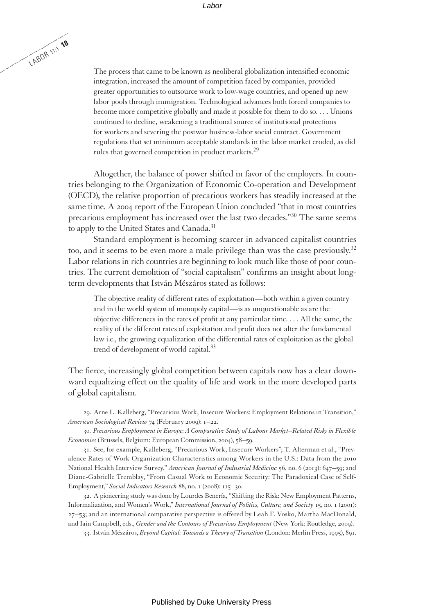

The process that came to be known as neoliberal globalization intensified economic integration, increased the amount of competition faced by companies, provided greater opportunities to outsource work to low-wage countries, and opened up new labor pools through immigration. Technological advances both forced companies to become more competitive globally and made it possible for them to do so. . . . Unions continued to decline, weakening a traditional source of institutional protections for workers and severing the postwar business-labor social contract. Government regulations that set minimum acceptable standards in the labor market eroded, as did rules that governed competition in product markets.<sup>29</sup>

Altogether, the balance of power shifted in favor of the employers. In countries belonging to the Organization of Economic Co-operation and Development (OECD), the relative proportion of precarious workers has steadily increased at the same time. A 2004 report of the European Union concluded "that in most countries precarious employment has increased over the last two decades."30 The same seems to apply to the United States and Canada.<sup>31</sup>

Standard employment is becoming scarcer in advanced capitalist countries too, and it seems to be even more a male privilege than was the case previously.<sup>32</sup> Labor relations in rich countries are beginning to look much like those of poor countries. The current demolition of "social capitalism" confirms an insight about longterm developments that István Mészáros stated as follows:

The objective reality of different rates of exploitation— both within a given country and in the world system of monopoly capital— is as unquestionable as are the objective differences in the rates of profit at any particular time. . . . All the same, the reality of the different rates of exploitation and profit does not alter the fundamental law i.e., the growing equalization of the differential rates of exploitation as the global trend of development of world capital.<sup>33</sup>

The fierce, increasingly global competition between capitals now has a clear downward equalizing effect on the quality of life and work in the more developed parts of global capitalism.

29. Arne L. Kalleberg, "Precarious Work, Insecure Workers: Employment Relations in Transition," *American Sociological Review* 74 (February 2009): 1– 22.

30. *Precarious Employment in Europe: A Comparative Study of Labour Market– Related Risks in Flexible Economies* (Brussels, Belgium: European Commission, 2004), 58–59.

31. See, for example, Kalleberg, "Precarious Work, Insecure Workers"; T. Alterman et al., "Prevalence Rates of Work Organization Characteristics among Workers in the U.S.: Data from the 2010 National Health Interview Survey," *American Journal of Industrial Medicine* 56, no. 6 (2013): 647– 59; and Diane-Gabrielle Tremblay, "From Casual Work to Economic Security: The Paradoxical Case of Self-Employment," *Social Indicators Research* 88, no. 1 (2008): 115-30.

32. A pioneering study was done by Lourdes Benería, "Shifting the Risk: New Employment Patterns, Informalization, and Women's Work," *International Journal of Politics, Culture, and Society* 15, no. 1 (2001): 27– 53; and an international comparative perspective is offered by Leah F. Vosko, Martha MacDonald, and Iain Campbell, eds., *Gender and the Contours of Precarious Employment* (New York: Routledge, 2009).

33. István Mészáros, *Beyond Capital: Towards a Theory of Transition* (London: Merlin Press, 1995), 891.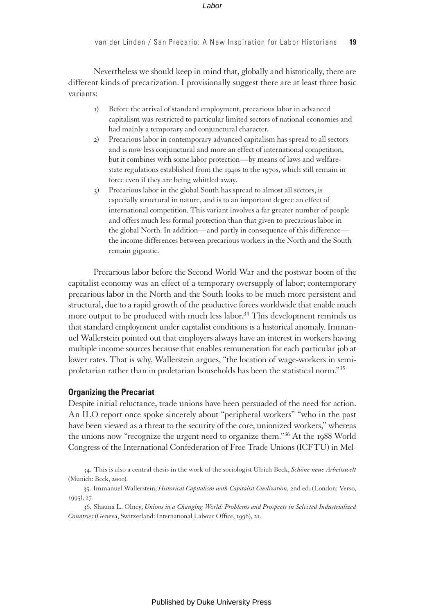Nevertheless we should keep in mind that, globally and historically, there are different kinds of precarization. I provisionally suggest there are at least three basic variants:

- 1) Before the arrival of standard employment, precarious labor in advanced capitalism was restricted to particular limited sectors of national economies and had mainly a temporary and conjunctural character.
- 2) Precarious labor in contemporary advanced capitalism has spread to all sectors and is now less conjunctural and more an effect of international competition, but it combines with some labor protection— by means of laws and welfarestate regulations established from the 1940s to the 1970s, which still remain in force even if they are being whittled away.
- 3) Precarious labor in the global South has spread to almost all sectors, is especially structural in nature, and is to an important degree an effect of international competition. This variant involves a far greater number of people and offers much less formal protection than that given to precarious labor in the global North. In addition— and partly in consequence of this difference the income differences between precarious workers in the North and the South remain gigantic.

Precarious labor before the Second World War and the postwar boom of the capitalist economy was an effect of a temporary oversupply of labor; contemporary precarious labor in the North and the South looks to be much more persistent and structural, due to a rapid growth of the productive forces worldwide that enable much more output to be produced with much less labor.<sup>34</sup> This development reminds us that standard employment under capitalist conditions is a historical anomaly. Immanuel Wallerstein pointed out that employers always have an interest in workers having multiple income sources because that enables remuneration for each particular job at lower rates. That is why, Wallerstein argues, "the location of wage-workers in semiproletarian rather than in proletarian households has been the statistical norm."35

# **Organizing the Precariat**

Despite initial reluctance, trade unions have been persuaded of the need for action. An ILO report once spoke sincerely about "peripheral workers" "who in the past have been viewed as a threat to the security of the core, unionized workers," whereas the unions now "recognize the urgent need to organize them."36 At the 1988 World Congress of the International Confederation of Free Trade Unions (ICFTU) in Mel-

<sup>34.</sup> This is also a central thesis in the work of the sociologist Ulrich Beck, *Schöne neue Arbeitswelt*  (Munich: Beck, 2000).

<sup>35.</sup> Immanuel Wallerstein, *Historical Capitalism with Capitalist Civilization*, 2nd ed. (London: Verso, 1995), 27.

<sup>36.</sup> Shauna L. Olney, *Unions in a Changing World: Problems and Prospects in Selected Industrialized Countries* (Geneva, Switzerland: International Labour Office, 1996), 21.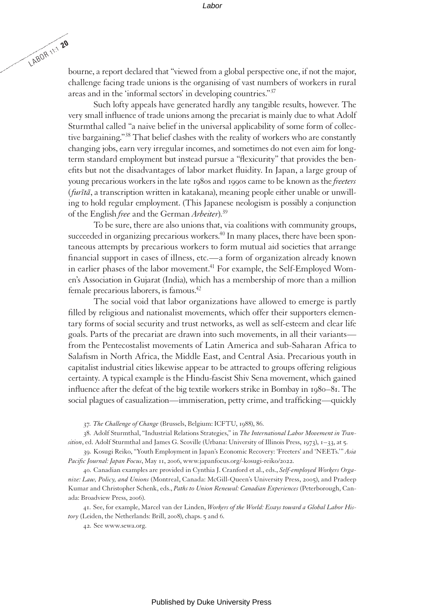LABOR 11:1 **20** bourne, a report declared that "viewed from a global perspective one, if not the major, challenge facing trade unions is the organising of vast numbers of workers in rural areas and in the 'informal sectors' in developing countries."37

> Such lofty appeals have generated hardly any tangible results, however. The very small influence of trade unions among the precariat is mainly due to what Adolf Sturmthal called "a naive belief in the universal applicability of some form of collective bargaining."38 That belief clashes with the reality of workers who are constantly changing jobs, earn very irregular incomes, and sometimes do not even aim for longterm standard employment but instead pursue a "flexicurity" that provides the benefits but not the disadvantages of labor market fluidity. In Japan, a large group of young precarious workers in the late 1980s and 1990s came to be known as the *freeters* (*furītā*, a transcription written in katakana), meaning people either unable or unwilling to hold regular employment. (This Japanese neologism is possibly a conjunction of the English *free* and the German *Arbeiter*).39

> To be sure, there are also unions that, via coalitions with community groups, succeeded in organizing precarious workers.<sup>40</sup> In many places, there have been spontaneous attempts by precarious workers to form mutual aid societies that arrange financial support in cases of illness, etc.— a form of organization already known in earlier phases of the labor movement.<sup>41</sup> For example, the Self-Employed Women's Association in Gujarat (India), which has a membership of more than a million female precarious laborers, is famous.42

> The social void that labor organizations have allowed to emerge is partly filled by religious and nationalist movements, which offer their supporters elementary forms of social security and trust networks, as well as self-esteem and clear life goals. Parts of the precariat are drawn into such movements, in all their variants from the Pentecostalist movements of Latin America and sub-Saharan Africa to Salafism in North Africa, the Middle East, and Central Asia. Precarious youth in capitalist industrial cities likewise appear to be attracted to groups offering religious certainty. A typical example is the Hindu-fascist Shiv Sena movement, which gained influence after the defeat of the big textile workers strike in Bombay in 1980–81. The social plagues of casualization— immiseration, petty crime, and trafficking— quickly

37. *The Challenge of Change* (Brussels, Belgium: ICFTU, 1988), 86.

38. Adolf Sturmthal, "Industrial Relations Strategies," in *The International Labor Movement in Transition*, ed. Adolf Sturmthal and James G. Scoville (Urbana: University of Illinois Press, 1973), 1– 33, at 5.

39. Kosugi Reiko, "Youth Employment in Japan's Economic Recovery: 'Freeters' and 'NEETs.'" *Asia Pacific Journal: Japan Focus*, May 11, 2006, www.japanfocus.org/-kosugi-reiko/2022.

40. Canadian examples are provided in Cynthia J. Cranford et al., eds., *Self-employed Workers Organize: Law, Policy, and Unions* (Montreal, Canada: McGill-Queen's University Press, 2005), and Pradeep Kumar and Christopher Schenk, eds., *Paths to Union Renewal: Canadian Experiences* (Peterborough, Canada: Broadview Press, 2006).

41. See, for example, Marcel van der Linden, *Workers of the World: Essays toward a Global Labor History* (Leiden, the Netherlands: Brill, 2008), chaps. 5 and 6.

42. See www.sewa.org.